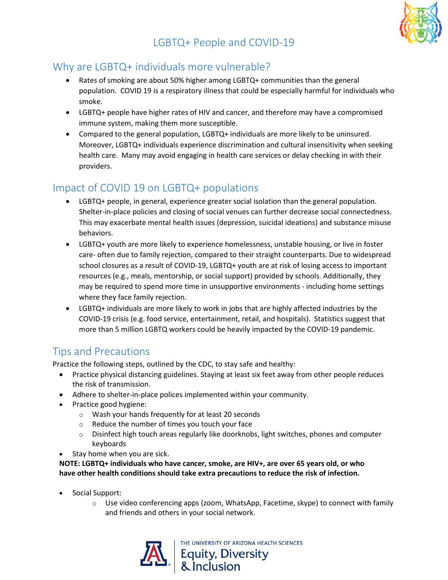# LGBTQ+ People and COVID-19



### Why are LGBTQ+ individuals more vulnerable?

- Rates of smoking are about 50% higher among LGBTQ+ communities than the general population. COVID 19 is a respiratory illness that could be especially harmful for individuals who smoke.
- LGBTQ+ people have higher rates of HIV and cancer, and therefore may have a compromised immune system, making them more susceptible.
- Compared to the general population, LGBTQ+ individuals are more likely to be uninsured. Moreover, LGBTQ+ individuals experience discrimination and cultural insensitivity when seeking health care. Many may avoid engaging in health care services or delay checking in with their providers.

## Impact of COVID 19 on LGBTQ+ populations

- LGBTQ+ people, in general, experience greater social isolation than the general population. Shelter-in-place policies and closing of social venues can further decrease social connectedness. This may exacerbate mental health issues (depression, suicidal ideations) and substance misuse behaviors.
- LGBTQ+ youth are more likely to experience homelessness, unstable housing, or live in foster care- often due to family rejection, compared to their straight counterparts. Due to widespread school closures as a result of COVID-19, LGBTQ+ youth are at risk of losing access to important resources (e.g., meals, mentorship, or social support) provided by schools. Additionally, they may be required to spend more time in unsupportive environments - including home settings where they face family rejection.
- LGBTQ+ individuals are more likely to work in jobs that are highly affected industries by the COVID-19 crisis (e.g. food service, entertainment, retail, and hospitals). Statistics suggest that more than 5 million LGBTQ workers could be heavily impacted by the COVID-19 pandemic.

### Tips and Precautions

Practice the following steps, outlined by the CDC, to stay safe and healthy:

- Practice physical distancing guidelines. Staying at least six feet away from other people reduces the risk of transmission.
- Adhere to shelter-in-place polices implemented within your community.
- Practice good hygiene:
	- o Wash your hands frequently for at least 20 seconds
	- o [Reduce the number of times you touch your face](https://www.nytimes.com/2020/03/05/health/stop-touching-your-face-coronavirus.html)
	- o Disinfect high touch areas regularly like doorknobs, light switches, phones and computer keyboards
- Stay home when you are sick.

**NOTE: LGBTQ+ individuals who have cancer, smoke, are HIV+, are over 65 years old, or who have other health conditions should take extra precautions to reduce the risk of infection.** 

- Social Support:
	- $\circ$  Use video conferencing apps (zoom, WhatsApp, Facetime, skype) to connect with family and friends and others in your social network.

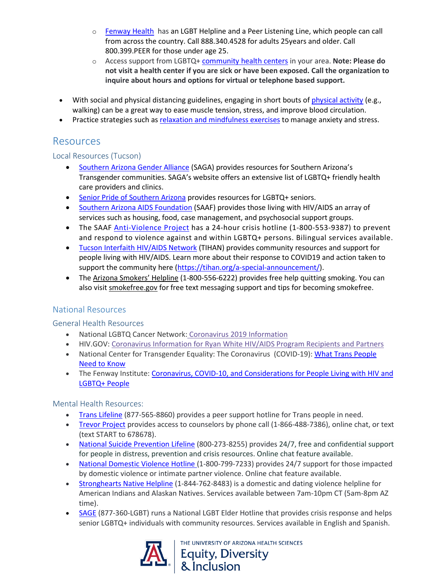- o [Fenway Health](https://fenwayhealth.org/wp-content/uploads/C19MC-9_COVID-19and-LGBTQIA-and-People-Living-with-HIV-Brief_final2_links.pdf) has an LGBT Helpline and a Peer Listening Line, which people can call from across the country. Call 888.340.4528 for adults 25years and older. Call 800.399.PEER for those under age 25.
- o Access support from LGBTQ+ [community health centers](https://www.lgbtcenters.org/LGBTCenters) in your area. **Note: Please do not visit a health center if you are sick or have been exposed. Call the organization to inquire about hours and options for virtual or telephone based support.**
- With social and physical distancing guidelines, engaging in short bouts of [physical activity](https://www.who.int/news-room/q-a-detail/be-active-during-covid-19) (e.g., walking) can be a great way to ease muscle tension, stress, and improve blood circulation.
- Practice strategies such a[s relaxation and mindfulness exercises](https://newsnetwork.mayoclinic.org/discussion/covid-19-tips-for-mindfulness-coping-with-anxiety/) to manage anxiety and stress.

### Resources

#### Local Resources (Tucson)

- [Southern Arizona Gender Alliance](https://www.sagatucson.org/) (SAGA) provides resources for Southern Arizona's Transgender communities. SAGA's website offers an extensive list of LGBTQ+ friendly health care providers and clinics.
- [Senior Pride of Southern Arizona](https://www.soazseniorpride.org/covid19-resources-lgbtq-seniors-032620/) provides resources for LGBTQ+ seniors.
- [Southern Arizona AIDS](https://saaf.org/) Foundation (SAAF) provides those living with HIV/AIDS an array of services such as housing, food, case management, and psychosocial support groups.
- The SAAF [Anti-Violence Project](https://saaf.org/care-services/avp/) has a 24-hour crisis hotline (1-800-553-9387) to prevent and respond to violence against and within LGBTQ+ persons. Bilingual services available.
- [Tucson Interfaith HIV/AIDS Network](https://tihan.org/) (TIHAN) provides community resources and support for people living with HIV/AIDS. Learn more about their response to COVID19 and action taken to support the community here [\(https://tihan.org/a-special-announcement/\)](https://tihan.org/a-special-announcement/).
- The [Arizona Smokers' Helpline](https://ashline.org/) (1-800-556-6222) provides free help quitting smoking. You can also visit [smokefree.gov](https://smokefree.gov/tools-tips/text-programs) for free text messaging support and tips for becoming smokefree.

### National Resources

#### General Health Resources

- National LGBTQ Cancer Network: [Coronavirus 2019 Information](https://cancer-network.org/coronavirus-2019-lgbtq-info/?fbclid=IwAR39ZFf8avR6uedxFNkfpfgHT2VMZeePp7ZqY1cWfakXOh41ePvj7F83tAM)
- HIV.GOV: [Coronavirus Information for Ryan White HIV/AIDS Program Recipients and Partners](https://www.hiv.gov/blog/coronavirus-information-ryan-white-hivaids-program-recipients-and-partners?utm_source=email&utm_medium=email&utm_campaign=daily20200319&utm_content=federalresponse)
- National Center for Transgender Equality: The Coronavirus (COVID-19): What Trans People [Need to Know](https://transequality.org/covid19)
- The Fenway Institute: Coronavirus, COVID-10, and Considerations for People Living with HIV and [LGBTQ+ People](https://fenwayhealth.org/wp-content/uploads/C19MC-9_COVID-19and-LGBTQIA-and-People-Living-with-HIV-Brief_final2_links.pdf)

#### Mental Health Resources:

- [Trans Lifeline](https://www.translifeline.org/) (877-565-8860) provides a peer support hotline for Trans people in need.
- [Trevor Project](https://www.thetrevorproject.org/) provides access to counselors by phone call (1-866-488-7386), online chat, or text (text START to 678678).
- [National Suicide Prevention Lifeline](https://suicidepreventionlifeline.org/) (800-273-8255) provides 24/7, free and confidential support for people in distress, prevention and crisis resources. Online chat feature available.
- [National Domestic Violence Hotline](https://www.thehotline.org/) (1-800-799-7233) provides 24/7 support for those impacted by domestic violence or intimate partner violence. Online chat feature available.
- [Stronghearts Native Helpline](https://www.strongheartshelpline.org/) (1-844-762-8483) is a domestic and dating violence helpline for American Indians and Alaskan Natives. Services available between 7am-10pm CT (5am-8pm AZ time).
- [SAGE](https://www.sageusa.org/) (877-360-LGBT) runs a National LGBT Elder Hotline that provides crisis response and helps senior LGBTQ+ individuals with community resources. Services available in English and Spanish.



**NIVERSITY OF ARIZONA HEALTH SCIENCES** Equity, Diversity<br>& Inclusion